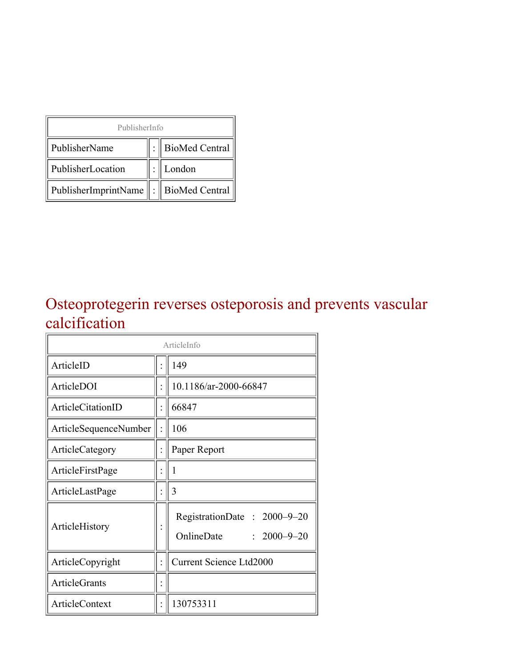| PublisherInfo                                   |  |                    |  |  |
|-------------------------------------------------|--|--------------------|--|--|
| PublisherName                                   |  | :   BioMed Central |  |  |
| PublisherLocation                               |  | London             |  |  |
| PublisherImprintName $\ \cdot\ $ BioMed Central |  |                    |  |  |

#### Osteoprotegerin reverses osteporosis and prevents vascular calcification

| ArticleInfo                  |  |                                                                |
|------------------------------|--|----------------------------------------------------------------|
| ArticleID                    |  | 149                                                            |
| ArticleDOI                   |  | 10.1186/ar-2000-66847                                          |
| <b>ArticleCitationID</b>     |  | 66847                                                          |
| <b>ArticleSequenceNumber</b> |  | 106                                                            |
| ArticleCategory              |  | Paper Report                                                   |
| ArticleFirstPage             |  | 1                                                              |
| ArticleLastPage              |  | 3                                                              |
| ArticleHistory               |  | RegistrationDate: 2000-9-20<br>OnlineDate<br>$: 2000 - 9 - 20$ |
| ArticleCopyright             |  | <b>Current Science Ltd2000</b>                                 |
| <b>ArticleGrants</b>         |  |                                                                |
| ArticleContext               |  | 130753311                                                      |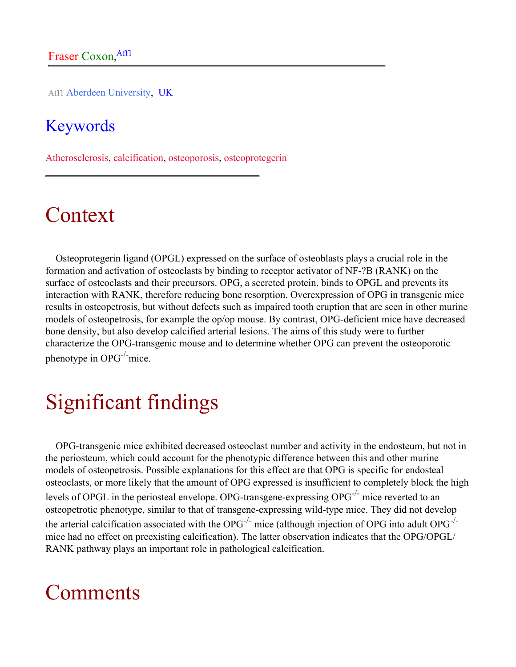Aff1 Aberdeen University, UK

#### **Keywords**

Atherosclerosis, calcification, osteoporosis, osteoprotegerin

# Context

Osteoprotegerin ligand (OPGL) expressed on the surface of osteoblasts plays a crucial role in the formation and activation of osteoclasts by binding to receptor activator of NF-?B (RANK) on the surface of osteoclasts and their precursors. OPG, a secreted protein, binds to OPGL and prevents its interaction with RANK, therefore reducing bone resorption. Overexpression of OPG in transgenic mice results in osteopetrosis, but without defects such as impaired tooth eruption that are seen in other murine models of osteopetrosis, for example the op/op mouse. By contrast, OPG-deficient mice have decreased bone density, but also develop calcified arterial lesions. The aims of this study were to further characterize the OPG-transgenic mouse and to determine whether OPG can prevent the osteoporotic phenotype in  $OPG^{-/-}$  mice.

# Significant findings

OPG-transgenic mice exhibited decreased osteoclast number and activity in the endosteum, but not in the periosteum, which could account for the phenotypic difference between this and other murine models of osteopetrosis. Possible explanations for this effect are that OPG is specific for endosteal osteoclasts, or more likely that the amount of OPG expressed is insufficient to completely block the high levels of OPGL in the periosteal envelope. OPG-transgene-expressing OPG<sup>-/-</sup> mice reverted to an osteopetrotic phenotype, similar to that of transgene-expressing wild-type mice. They did not develop the arterial calcification associated with the OPG<sup>-/-</sup> mice (although injection of OPG into adult OPG<sup>-/-</sup> mice had no effect on preexisting calcification). The latter observation indicates that the OPG/OPGL/ RANK pathway plays an important role in pathological calcification.

### Comments